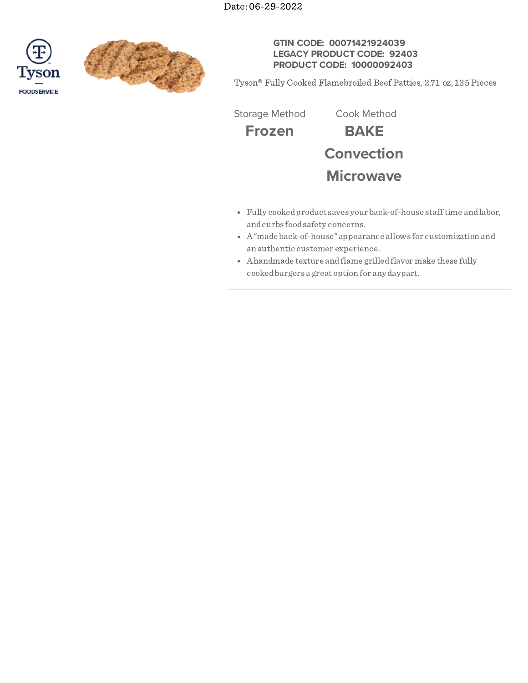Date: 06-29-2022





## **GTIN CODE: 00071421924039 LEGACY PRODUCT CODE: 92403 PRODUCT CODE: 10000092403**

Tyson® Fully Cooked Flamebroiled Beef Patties, 2.71 oz, 135 Pieces

Storage Method Cook Method

**Frozen BAKE Convection**



- Fully cookedproduct saves your back-of-house stafftime andlabor, andcurbs foodsafety concerns.
- A"made back-of-house" appearance allows for customization and an authentic customer experience.
- Ahandmade texture andflame grilledflavor make these fully cookedburgers a great option for any daypart.